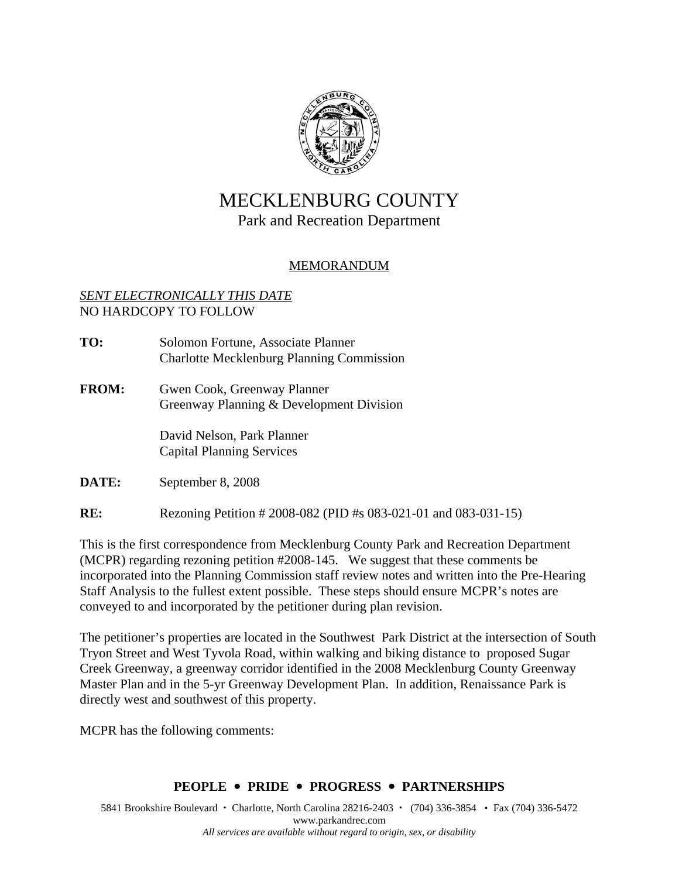

# MECKLENBURG COUNTY

## Park and Recreation Department

## MEMORANDUM

#### *SENT ELECTRONICALLY THIS DATE* NO HARDCOPY TO FOLLOW

- **TO:** Solomon Fortune, Associate Planner Charlotte Mecklenburg Planning Commission
- **FROM:** Gwen Cook, Greenway Planner Greenway Planning & Development Division

 David Nelson, Park Planner Capital Planning Services

**DATE:** September 8, 2008

**RE:** Rezoning Petition # 2008-082 (PID #s 083-021-01 and 083-031-15)

This is the first correspondence from Mecklenburg County Park and Recreation Department (MCPR) regarding rezoning petition #2008-145. We suggest that these comments be incorporated into the Planning Commission staff review notes and written into the Pre-Hearing Staff Analysis to the fullest extent possible. These steps should ensure MCPR's notes are conveyed to and incorporated by the petitioner during plan revision.

The petitioner's properties are located in the Southwest Park District at the intersection of South Tryon Street and West Tyvola Road, within walking and biking distance to proposed Sugar Creek Greenway, a greenway corridor identified in the 2008 Mecklenburg County Greenway Master Plan and in the 5-yr Greenway Development Plan. In addition, Renaissance Park is directly west and southwest of this property.

MCPR has the following comments:

### **PEOPLE** y **PRIDE** y **PROGRESS** y **PARTNERSHIPS**

5841 Brookshire Boulevard • Charlotte, North Carolina 28216-2403 • (704) 336-3854 • Fax (704) 336-5472 www.parkandrec.com *All services are available without regard to origin, sex, or disability*